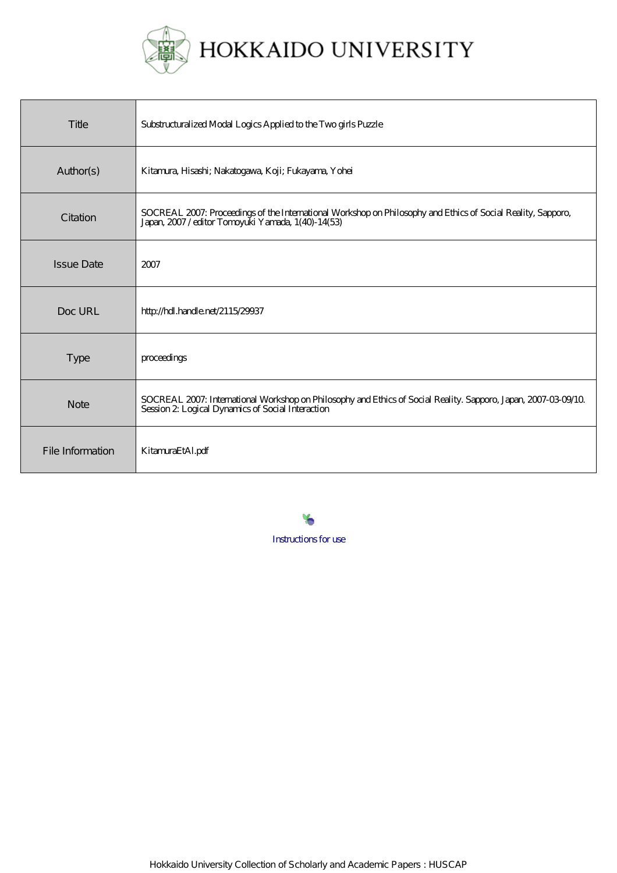

| Title             | Substructuralized Modal Logics Applied to the Two girls Puzzle                                                                                                     |
|-------------------|--------------------------------------------------------------------------------------------------------------------------------------------------------------------|
| Author(s)         | Kitanura, Hisashi; Nakatogawa, Koji; Fukayama, Yohei                                                                                                               |
| Citation          | SOCREAL 2007: Proceedings of the International Workshop on Philosophy and Ethics of Social Reality, Sapporo,<br>Japan, 2007/editor Tomoyuki Yamada, 1(40)-14(53)   |
| <b>Issue Date</b> | 2007                                                                                                                                                               |
| Doc URL           | http://hdl.handle.net/2115/29937                                                                                                                                   |
| <b>Type</b>       | proceedings                                                                                                                                                        |
| <b>Note</b>       | SOCREAL 2007: International Workshop on Philosophy and Ethics of Social Reality. Sapporo, Japan, 2007-03-09/10<br>Session 2 Logical Dynamics of Social Interaction |
| File Information  | KitamuraEtAl.pdf                                                                                                                                                   |

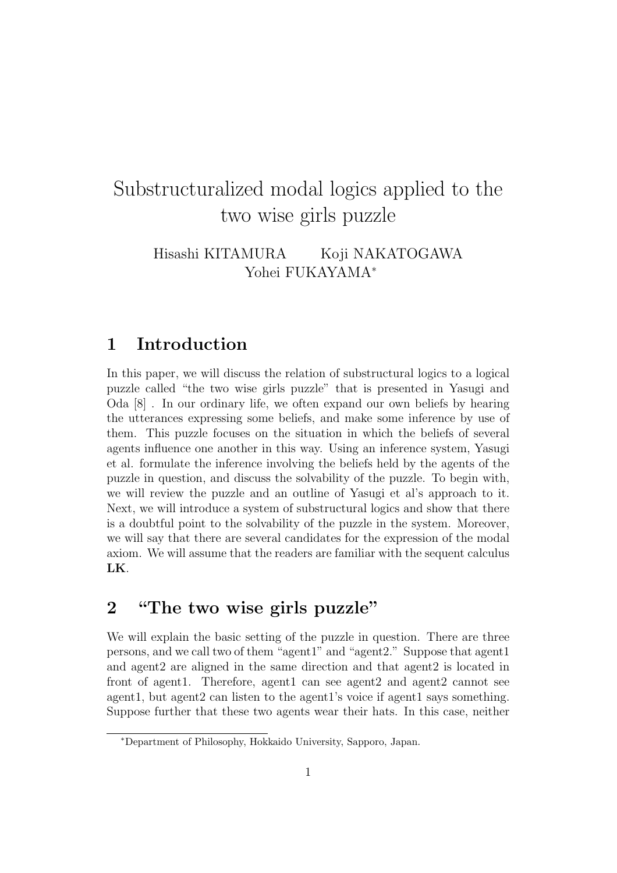# Substructuralized modal logics applied to the two wise girls puzzle

### Hisashi KITAMURA Koji NAKATOGAWA Yohei FUKAYAMA*<sup>∗</sup>*

# **1 Introduction**

In this paper, we will discuss the relation of substructural logics to a logical puzzle called "the two wise girls puzzle" that is presented in Yasugi and Oda [8] . In our ordinary life, we often expand our own beliefs by hearing the utterances expressing some beliefs, and make some inference by use of them. This puzzle focuses on the situation in which the beliefs of several agents influence one another in this way. Using an inference system, Yasugi et al. formulate the inference involving the beliefs held by the agents of the puzzle in question, and discuss the solvability of the puzzle. To begin with, we will review the puzzle and an outline of Yasugi et al's approach to it. Next, we will introduce a system of substructural logics and show that there is a doubtful point to the solvability of the puzzle in the system. Moreover, we will say that there are several candidates for the expression of the modal axiom. We will assume that the readers are familiar with the sequent calculus **LK**.

# **2 "The two wise girls puzzle"**

We will explain the basic setting of the puzzle in question. There are three persons, and we call two of them "agent1" and "agent2." Suppose that agent1 and agent2 are aligned in the same direction and that agent2 is located in front of agent1. Therefore, agent1 can see agent2 and agent2 cannot see agent1, but agent2 can listen to the agent1's voice if agent1 says something. Suppose further that these two agents wear their hats. In this case, neither

*<sup>∗</sup>*Department of Philosophy, Hokkaido University, Sapporo, Japan.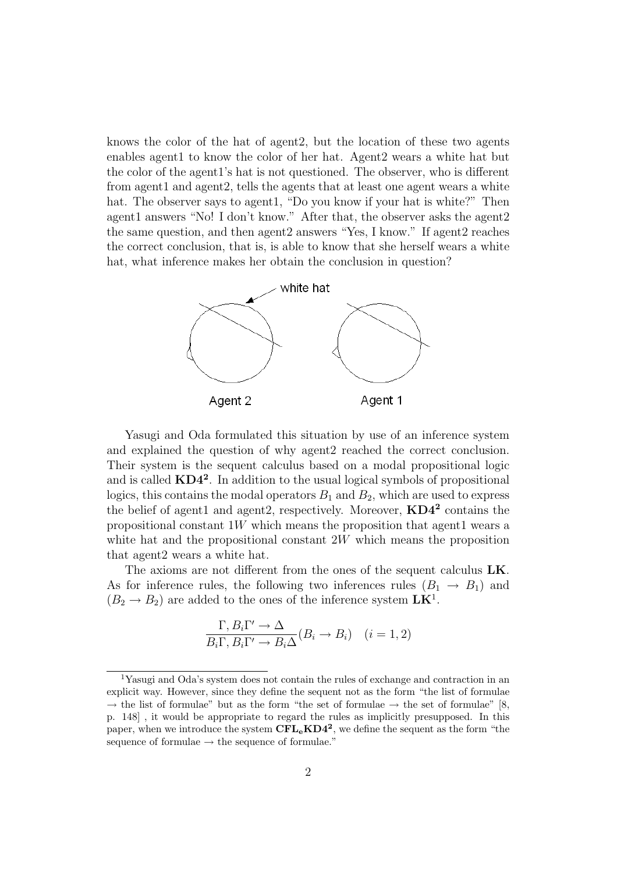knows the color of the hat of agent2, but the location of these two agents enables agent1 to know the color of her hat. Agent2 wears a white hat but the color of the agent1's hat is not questioned. The observer, who is different from agent1 and agent2, tells the agents that at least one agent wears a white hat. The observer says to agent1, "Do you know if your hat is white?" Then agent1 answers "No! I don't know." After that, the observer asks the agent2 the same question, and then agent2 answers "Yes, I know." If agent2 reaches the correct conclusion, that is, is able to know that she herself wears a white hat, what inference makes her obtain the conclusion in question?



Yasugi and Oda formulated this situation by use of an inference system and explained the question of why agent2 reached the correct conclusion. Their system is the sequent calculus based on a modal propositional logic and is called **KD4<sup>2</sup>** . In addition to the usual logical symbols of propositional logics, this contains the modal operators  $B_1$  and  $B_2$ , which are used to express the belief of agent1 and agent2, respectively. Moreover, **KD4<sup>2</sup>** contains the propositional constant  $1W$  which means the proposition that agent1 wears a white hat and the propositional constant 2*W* which means the proposition that agent2 wears a white hat.

The axioms are not different from the ones of the sequent calculus **LK**. As for inference rules, the following two inferences rules  $(B_1 \rightarrow B_1)$  and  $(B_2 \rightarrow B_2)$  are added to the ones of the inference system  $LK^1$ .

$$
\frac{\Gamma, B_i \Gamma' \to \Delta}{B_i \Gamma, B_i \Gamma' \to B_i \Delta} (B_i \to B_i) \quad (i = 1, 2)
$$

<sup>1</sup>Yasugi and Oda's system does not contain the rules of exchange and contraction in an explicit way. However, since they define the sequent not as the form "the list of formulae *→* the list of formulae" but as the form "the set of formulae *→* the set of formulae" [8, p. 148] , it would be appropriate to regard the rules as implicitly presupposed. In this paper, when we introduce the system **CFLeKD4<sup>2</sup>** , we define the sequent as the form "the sequence of formulae *→* the sequence of formulae."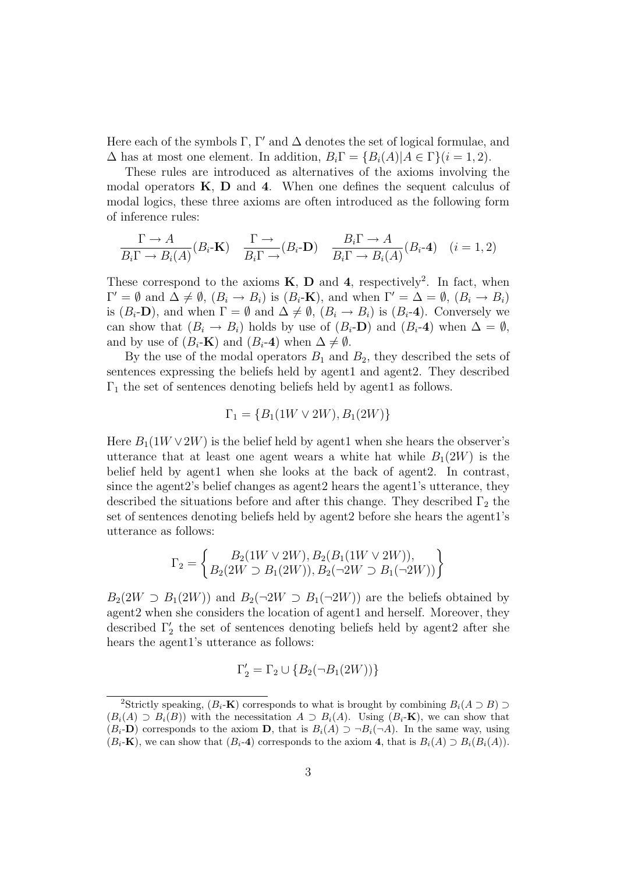Here each of the symbols  $\Gamma$ ,  $\Gamma'$  and  $\Delta$  denotes the set of logical formulae, and  $\Delta$  has at most one element. In addition,  $B_i \Gamma = \{B_i(A) | A \in \Gamma\}$  (*i* = 1, 2).

These rules are introduced as alternatives of the axioms involving the modal operators **K**, **D** and **4**. When one defines the sequent calculus of modal logics, these three axioms are often introduced as the following form of inference rules:

$$
\frac{\Gamma \to A}{B_i \Gamma \to B_i(A)} (B_i - \mathbf{K}) \quad \frac{\Gamma \to}{B_i \Gamma \to} (B_i - \mathbf{D}) \quad \frac{B_i \Gamma \to A}{B_i \Gamma \to B_i(A)} (B_i - 4) \quad (i = 1, 2)
$$

These correspond to the axioms  $\mathbf{K}$ ,  $\mathbf{D}$  and  $\mathbf{4}$ , respectively<sup>2</sup>. In fact, when  $\Gamma' = \emptyset$  and  $\Delta \neq \emptyset$ ,  $(B_i \to B_i)$  is  $(B_i \text{-} K)$ , and when  $\Gamma' = \Delta = \emptyset$ ,  $(B_i \to B_i)$ is  $(B_i \text{-} \mathbf{D})$ , and when  $\Gamma = \emptyset$  and  $\Delta \neq \emptyset$ ,  $(B_i \rightarrow B_i)$  is  $(B_i \text{-} \mathbf{4})$ . Conversely we can show that  $(B_i \to B_i)$  holds by use of  $(B_i \text{-} \mathbf{D})$  and  $(B_i \text{-} \mathbf{4})$  when  $\Delta = \emptyset$ , and by use of  $(B_i$ **-K**) and  $(B_i$ **-4**) when  $\Delta \neq \emptyset$ .

By the use of the modal operators  $B_1$  and  $B_2$ , they described the sets of sentences expressing the beliefs held by agent1 and agent2. They described  $\Gamma_1$  the set of sentences denoting beliefs held by agent1 as follows.

$$
\Gamma_1 = \{ B_1(1W \vee 2W), B_1(2W) \}
$$

Here  $B_1(1W \vee 2W)$  is the belief held by agent1 when she hears the observer's utterance that at least one agent wears a white hat while  $B_1(2W)$  is the belief held by agent1 when she looks at the back of agent2. In contrast, since the agent2's belief changes as agent2 hears the agent1's utterance, they described the situations before and after this change. They described  $\Gamma_2$  the set of sentences denoting beliefs held by agent2 before she hears the agent1's utterance as follows:

$$
\Gamma_2 = \left\{ \begin{matrix} B_2(1W \vee 2W), B_2(B_1(1W \vee 2W)), \\ B_2(2W \supset B_1(2W)), B_2(\neg 2W \supset B_1(\neg 2W)) \end{matrix} \right\}
$$

 $B_2(2W \supset B_1(2W))$  and  $B_2(\neg 2W \supset B_1(\neg 2W))$  are the beliefs obtained by agent2 when she considers the location of agent1 and herself. Moreover, they described  $\Gamma_2'$  the set of sentences denoting beliefs held by agent2 after she hears the agent1's utterance as follows:

$$
\Gamma_2' = \Gamma_2 \cup \{B_2(\neg B_1(2W))\}
$$

<sup>&</sup>lt;sup>2</sup>Strictly speaking,  $(B_i$ **-K**) corresponds to what is brought by combining  $B_i(A \supset B) \supset$  $(B_i(A) \supset B_i(B))$  with the necessitation  $A \supset B_i(A)$ . Using  $(B_i$ -**K**), we can show that  $(B_i$ **-D**) corresponds to the axiom **D**, that is  $B_i(A) \supset \neg B_i(\neg A)$ . In the same way, using  $(B_i - K)$ , we can show that  $(B_i - 4)$  corresponds to the axiom 4, that is  $B_i(A) \supset B_i(B_i(A))$ .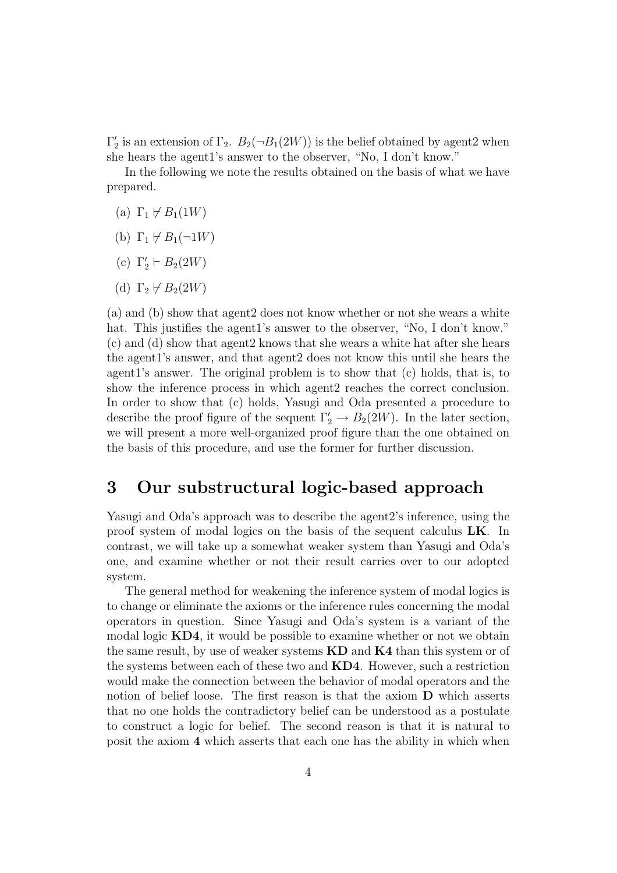$\Gamma'_2$  is an extension of  $\Gamma_2$ .  $B_2(\neg B_1(2W))$  is the belief obtained by agent2 when she hears the agent1's answer to the observer, "No, I don't know."

In the following we note the results obtained on the basis of what we have prepared.

- (a)  $\Gamma_1 \not\vdash B_1(1W)$
- (b)  $\Gamma_1 \not\vdash B_1(\neg 1W)$
- (c)  $\Gamma'_2 \vdash B_2(2W)$
- (d)  $\Gamma_2 \not\vdash B_2(2W)$

(a) and (b) show that agent2 does not know whether or not she wears a white hat. This justifies the agent1's answer to the observer, "No, I don't know." (c) and (d) show that agent2 knows that she wears a white hat after she hears the agent1's answer, and that agent2 does not know this until she hears the agent1's answer. The original problem is to show that (c) holds, that is, to show the inference process in which agent2 reaches the correct conclusion. In order to show that (c) holds, Yasugi and Oda presented a procedure to describe the proof figure of the sequent  $\Gamma'_2 \to B_2(2W)$ . In the later section, we will present a more well-organized proof figure than the one obtained on the basis of this procedure, and use the former for further discussion.

## **3 Our substructural logic-based approach**

Yasugi and Oda's approach was to describe the agent2's inference, using the proof system of modal logics on the basis of the sequent calculus **LK**. In contrast, we will take up a somewhat weaker system than Yasugi and Oda's one, and examine whether or not their result carries over to our adopted system.

The general method for weakening the inference system of modal logics is to change or eliminate the axioms or the inference rules concerning the modal operators in question. Since Yasugi and Oda's system is a variant of the modal logic **KD4**, it would be possible to examine whether or not we obtain the same result, by use of weaker systems **KD** and **K4** than this system or of the systems between each of these two and **KD4**. However, such a restriction would make the connection between the behavior of modal operators and the notion of belief loose. The first reason is that the axiom **D** which asserts that no one holds the contradictory belief can be understood as a postulate to construct a logic for belief. The second reason is that it is natural to posit the axiom **4** which asserts that each one has the ability in which when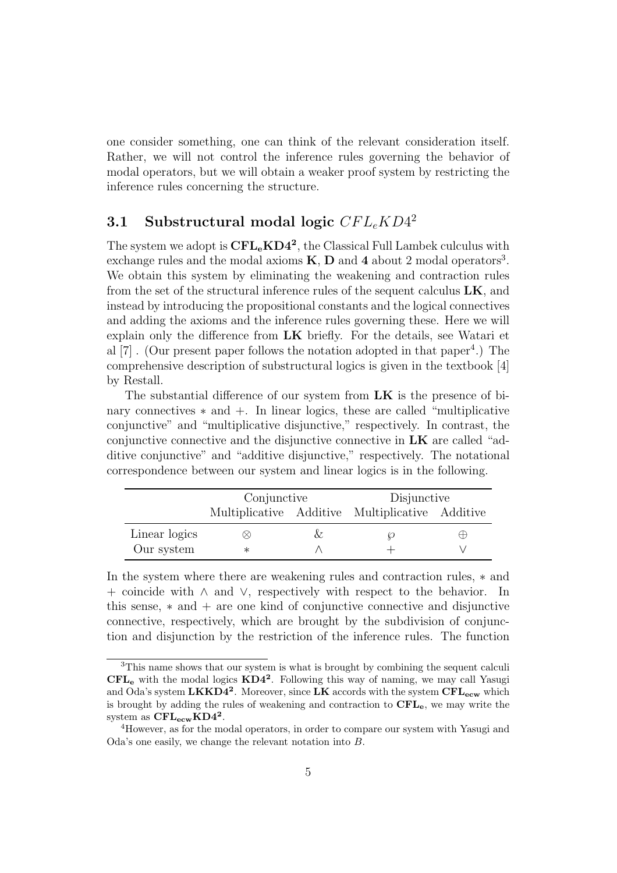one consider something, one can think of the relevant consideration itself. Rather, we will not control the inference rules governing the behavior of modal operators, but we will obtain a weaker proof system by restricting the inference rules concerning the structure.

# **3.1 Substructural modal logic** *CF LeKD*4 2

The system we adopt is **CFLeKD4<sup>2</sup>** , the Classical Full Lambek culculus with exchange rules and the modal axioms  $\mathbf{K}, \mathbf{D}$  and 4 about 2 modal operators<sup>3</sup>. We obtain this system by eliminating the weakening and contraction rules from the set of the structural inference rules of the sequent calculus **LK**, and instead by introducing the propositional constants and the logical connectives and adding the axioms and the inference rules governing these. Here we will explain only the difference from **LK** briefly. For the details, see Watari et al [7]. (Our present paper follows the notation adopted in that paper<sup>4</sup>.) The comprehensive description of substructural logics is given in the textbook [4] by Restall.

The substantial difference of our system from **LK** is the presence of binary connectives *∗* and +. In linear logics, these are called "multiplicative conjunctive" and "multiplicative disjunctive," respectively. In contrast, the conjunctive connective and the disjunctive connective in **LK** are called "additive conjunctive" and "additive disjunctive," respectively. The notational correspondence between our system and linear logics is in the following.

|               | Conjunctive |  | Disjunctive                                     |   |
|---------------|-------------|--|-------------------------------------------------|---|
|               |             |  | Multiplicative Additive Multiplicative Additive |   |
| Linear logics | X)          |  | <b>Q</b>                                        | ↔ |
| Our system    |             |  |                                                 |   |

In the system where there are weakening rules and contraction rules, *∗* and + coincide with *∧* and *∨*, respectively with respect to the behavior. In this sense, *∗* and + are one kind of conjunctive connective and disjunctive connective, respectively, which are brought by the subdivision of conjunction and disjunction by the restriction of the inference rules. The function

<sup>3</sup>This name shows that our system is what is brought by combining the sequent calculi **CFL<sup>e</sup>** with the modal logics **KD4<sup>2</sup>** . Following this way of naming, we may call Yasugi and Oda's system **LKKD4<sup>2</sup>** . Moreover, since **LK** accords with the system **CFLecw** which is brought by adding the rules of weakening and contraction to **CFLe**, we may write the system as **CFLecwKD4<sup>2</sup>** .

<sup>4</sup>However, as for the modal operators, in order to compare our system with Yasugi and Oda's one easily, we change the relevant notation into *B*.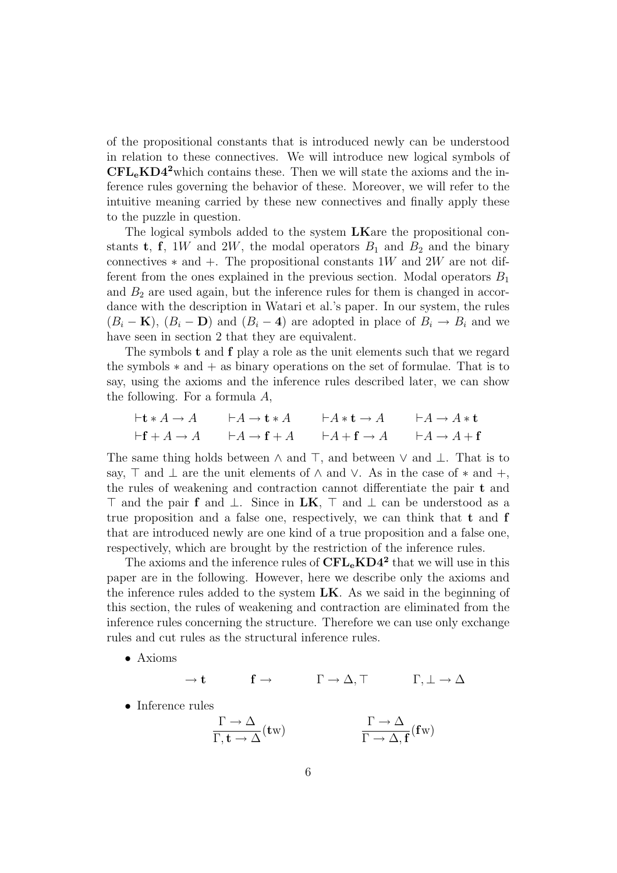of the propositional constants that is introduced newly can be understood in relation to these connectives. We will introduce new logical symbols of **CFLeKD4<sup>2</sup>**which contains these. Then we will state the axioms and the inference rules governing the behavior of these. Moreover, we will refer to the intuitive meaning carried by these new connectives and finally apply these to the puzzle in question.

The logical symbols added to the system **LK**are the propositional constants **t**, **f**, 1*W* and 2*W*, the modal operators  $B_1$  and  $B_2$  and the binary connectives *∗* and +. The propositional constants 1*W* and 2*W* are not different from the ones explained in the previous section. Modal operators *B*<sup>1</sup> and  $B_2$  are used again, but the inference rules for them is changed in accordance with the description in Watari et al.'s paper. In our system, the rules  $(B_i - K)$ ,  $(B_i - D)$  and  $(B_i - 4)$  are adopted in place of  $B_i \rightarrow B_i$  and we have seen in section 2 that they are equivalent.

The symbols **t** and **f** play a role as the unit elements such that we regard the symbols *∗* and + as binary operations on the set of formulae. That is to say, using the axioms and the inference rules described later, we can show the following. For a formula *A*,

$$
\begin{array}{l}\n\vdash \mathbf{t} * A \to A \\
\vdash \mathbf{f} + A \to A \\
\end{array}\n\begin{array}{l}\n\vdash A \to \mathbf{t} * A \\
\vdash A \to \mathbf{f} + A \\
\end{array}\n\begin{array}{l}\n\vdash A * \mathbf{t} \to A \\
\vdash A + \mathbf{f} \to A \\
\end{array}\n\begin{array}{l}\n\vdash A \to A * \mathbf{t} \\
\vdash A \to A + \mathbf{f} \\
\end{array}
$$

The same thing holds between  $\land$  and  $\top$ , and between  $\lor$  and  $\bot$ . That is to say,  $\top$  and  $\bot$  are the unit elements of  $\land$  and  $\lor$ . As in the case of  $*$  and  $+$ , the rules of weakening and contraction cannot differentiate the pair **t** and *>* and the pair **f** and *⊥*. Since in **LK**, *>* and *⊥* can be understood as a true proposition and a false one, respectively, we can think that **t** and **f** that are introduced newly are one kind of a true proposition and a false one, respectively, which are brought by the restriction of the inference rules.

The axioms and the inference rules of **CFLeKD4<sup>2</sup>** that we will use in this paper are in the following. However, here we describe only the axioms and the inference rules added to the system **LK**. As we said in the beginning of this section, the rules of weakening and contraction are eliminated from the inference rules concerning the structure. Therefore we can use only exchange rules and cut rules as the structural inference rules.

*•* Axioms

*→* **t f** *→* Γ *→* ∆*, >* Γ*, ⊥ →* ∆

*•* Inference rules

$$
\frac{\Gamma \to \Delta}{\Gamma, \mathbf{t} \to \Delta} (\mathbf{t} w) \qquad \qquad \frac{\Gamma \to \Delta}{\Gamma \to \Delta, \mathbf{f}} (\mathbf{f} w)
$$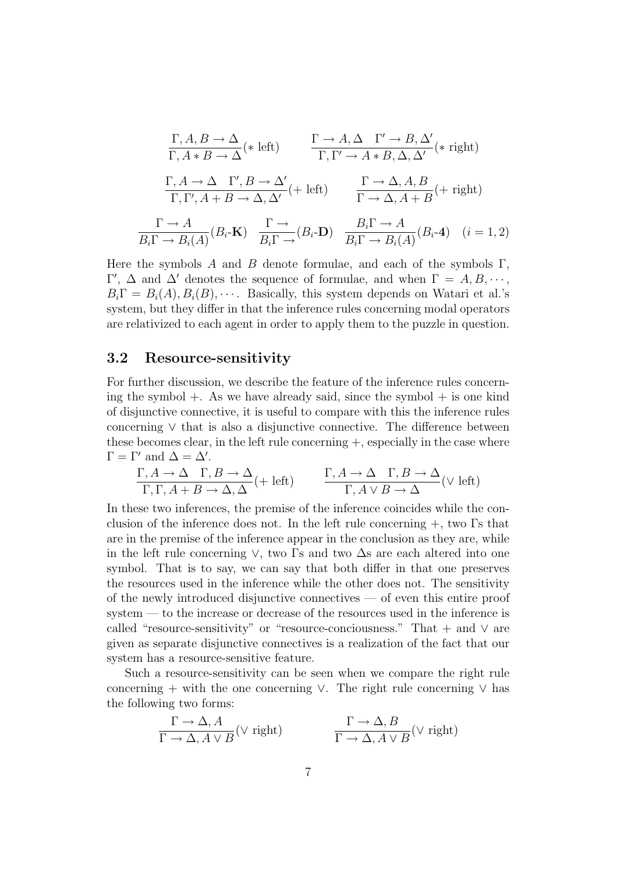$$
\frac{\Gamma, A, B \to \Delta}{\Gamma, A * B \to \Delta} (* \text{ left}) \qquad \frac{\Gamma \to A, \Delta \quad \Gamma' \to B, \Delta'}{\Gamma, \Gamma' \to A * B, \Delta, \Delta'} (* \text{ right})
$$
\n
$$
\frac{\Gamma, A \to \Delta \quad \Gamma', B \to \Delta'}{\Gamma, \Gamma', A + B \to \Delta, \Delta'} (+ \text{ left}) \qquad \frac{\Gamma \to \Delta, A, B}{\Gamma \to \Delta, A + B} (+ \text{ right})
$$
\n
$$
\frac{\Gamma \to A}{B_i \Gamma \to B_i(A)} (B_i \text{-K}) \qquad \frac{\Gamma \to}{B_i \Gamma \to} (B_i \text{-D}) \qquad \frac{B_i \Gamma \to A}{B_i \Gamma \to B_i(A)} (B_i \text{-4}) \qquad (i = 1, 2)
$$

Here the symbols *A* and *B* denote formulae, and each of the symbols Γ,  $\Gamma'$ ,  $\Delta$  and  $\Delta'$  denotes the sequence of formulae, and when  $\Gamma = A, B, \cdots$ ,  $B_i\Gamma = B_i(A), B_i(B), \cdots$ . Basically, this system depends on Watari et al.'s system, but they differ in that the inference rules concerning modal operators are relativized to each agent in order to apply them to the puzzle in question.

#### **3.2 Resource-sensitivity**

For further discussion, we describe the feature of the inference rules concerning the symbol  $+$ . As we have already said, since the symbol  $+$  is one kind of disjunctive connective, it is useful to compare with this the inference rules concerning *∨* that is also a disjunctive connective. The difference between these becomes clear, in the left rule concerning  $+$ , especially in the case where  $\Gamma = \Gamma'$  and  $\Delta = \Delta'$ .

$$
\frac{\Gamma, A \to \Delta \quad \Gamma, B \to \Delta}{\Gamma, \Gamma, A + B \to \Delta, \Delta} (+ \text{ left}) \qquad \frac{\Gamma, A \to \Delta \quad \Gamma, B \to \Delta}{\Gamma, A \vee B \to \Delta} (\vee \text{ left})
$$

In these two inferences, the premise of the inference coincides while the conclusion of the inference does not. In the left rule concerning  $+$ , two  $\Gamma$ s that are in the premise of the inference appear in the conclusion as they are, while in the left rule concerning  $\vee$ , two  $\Gamma$ s and two  $\Delta$ s are each altered into one symbol. That is to say, we can say that both differ in that one preserves the resources used in the inference while the other does not. The sensitivity of the newly introduced disjunctive connectives — of even this entire proof system — to the increase or decrease of the resources used in the inference is called "resource-sensitivity" or "resource-conciousness." That + and *∨* are given as separate disjunctive connectives is a realization of the fact that our system has a resource-sensitive feature.

Such a resource-sensitivity can be seen when we compare the right rule concerning + with the one concerning *∨*. The right rule concerning *∨* has the following two forms:

$$
\frac{\Gamma \to \Delta, A}{\Gamma \to \Delta, A \vee B} (\vee \text{ right}) \qquad \qquad \frac{\Gamma \to \Delta, B}{\Gamma \to \Delta, A \vee B} (\vee \text{ right})
$$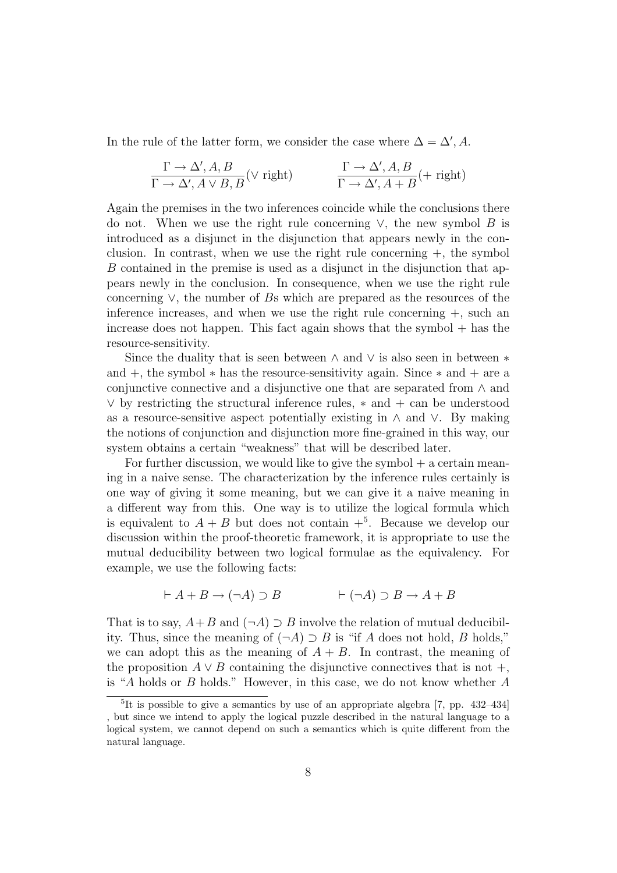In the rule of the latter form, we consider the case where  $\Delta = \Delta'$ , A.

$$
\frac{\Gamma \to \Delta', A, B}{\Gamma \to \Delta', A \lor B, B} (\lor \text{ right}) \qquad \frac{\Gamma \to \Delta', A, B}{\Gamma \to \Delta', A + B} (+ \text{ right})
$$

Again the premises in the two inferences coincide while the conclusions there do not. When we use the right rule concerning *∨*, the new symbol *B* is introduced as a disjunct in the disjunction that appears newly in the conclusion. In contrast, when we use the right rule concerning  $+$ , the symbol *B* contained in the premise is used as a disjunct in the disjunction that appears newly in the conclusion. In consequence, when we use the right rule concerning *∨*, the number of *B*s which are prepared as the resources of the inference increases, and when we use the right rule concerning  $+$ , such an increase does not happen. This fact again shows that the symbol + has the resource-sensitivity.

Since the duality that is seen between *∧* and *∨* is also seen in between *∗* and +, the symbol *∗* has the resource-sensitivity again. Since *∗* and + are a conjunctive connective and a disjunctive one that are separated from *∧* and *∨* by restricting the structural inference rules, *∗* and + can be understood as a resource-sensitive aspect potentially existing in *∧* and *∨*. By making the notions of conjunction and disjunction more fine-grained in this way, our system obtains a certain "weakness" that will be described later.

For further discussion, we would like to give the symbol  $+$  a certain meaning in a naive sense. The characterization by the inference rules certainly is one way of giving it some meaning, but we can give it a naive meaning in a different way from this. One way is to utilize the logical formula which is equivalent to  $A + B$  but does not contain  $+^5$ . Because we develop our discussion within the proof-theoretic framework, it is appropriate to use the mutual deducibility between two logical formulae as the equivalency. For example, we use the following facts:

$$
\vdash A + B \to (\neg A) \supset B \qquad \qquad \vdash (\neg A) \supset B \to A + B
$$

That is to say,  $A + B$  and  $(\neg A) \supset B$  involve the relation of mutual deducibility. Thus, since the meaning of (*¬A*) *⊃ B* is "if *A* does not hold, *B* holds," we can adopt this as the meaning of  $A + B$ . In contrast, the meaning of the proposition  $A \vee B$  containing the disjunctive connectives that is not  $+$ , is "*A* holds or *B* holds." However, in this case, we do not know whether *A*

<sup>&</sup>lt;sup>5</sup>It is possible to give a semantics by use of an appropriate algebra [7, pp. 432–434] , but since we intend to apply the logical puzzle described in the natural language to a logical system, we cannot depend on such a semantics which is quite different from the natural language.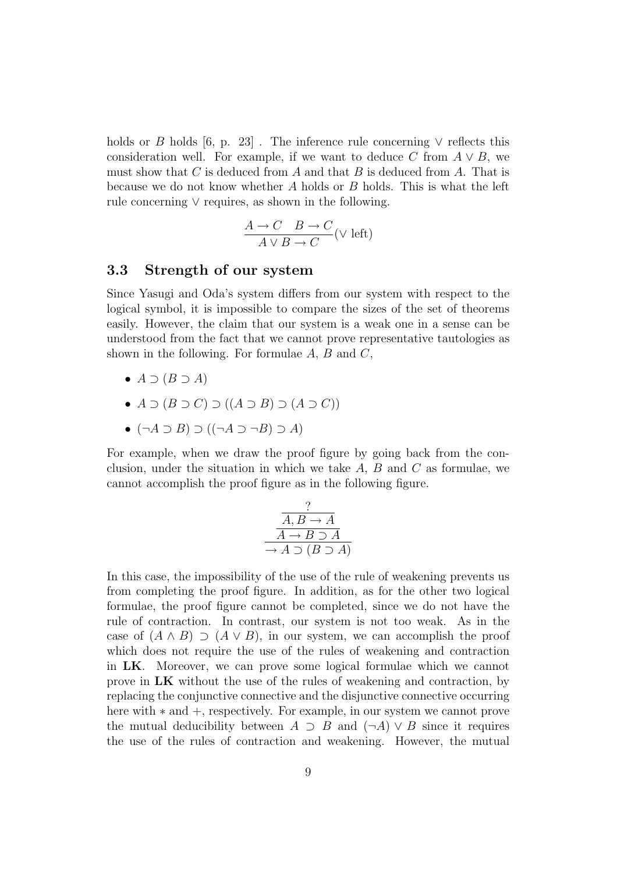holds or *B* holds [6, p. 23]. The inference rule concerning  $\vee$  reflects this consideration well. For example, if we want to deduce  $C$  from  $A \vee B$ , we must show that *C* is deduced from *A* and that *B* is deduced from *A*. That is because we do not know whether *A* holds or *B* holds. This is what the left rule concerning *∨* requires, as shown in the following.

$$
\frac{A \to C \quad B \to C}{A \lor B \to C} (\lor \text{ left})
$$

#### **3.3 Strength of our system**

Since Yasugi and Oda's system differs from our system with respect to the logical symbol, it is impossible to compare the sizes of the set of theorems easily. However, the claim that our system is a weak one in a sense can be understood from the fact that we cannot prove representative tautologies as shown in the following. For formulae *A*, *B* and *C*,

- *• A ⊃* (*B ⊃ A*)
- *• A ⊃* (*B ⊃ C*) *⊃* ((*A ⊃ B*) *⊃* (*A ⊃ C*))
- *•* (*¬A ⊃ B*) *⊃* ((*¬A ⊃ ¬B*) *⊃ A*)

For example, when we draw the proof figure by going back from the conclusion, under the situation in which we take *A*, *B* and *C* as formulae, we cannot accomplish the proof figure as in the following figure.

$$
\frac{\frac{?}{A, B \to A}}{A \to B \supset A}
$$
  

$$
\to A \supset (B \supset A)
$$

In this case, the impossibility of the use of the rule of weakening prevents us from completing the proof figure. In addition, as for the other two logical formulae, the proof figure cannot be completed, since we do not have the rule of contraction. In contrast, our system is not too weak. As in the case of  $(A \wedge B) \supseteq (A \vee B)$ , in our system, we can accomplish the proof which does not require the use of the rules of weakening and contraction in **LK**. Moreover, we can prove some logical formulae which we cannot prove in **LK** without the use of the rules of weakening and contraction, by replacing the conjunctive connective and the disjunctive connective occurring here with *∗* and +, respectively. For example, in our system we cannot prove the mutual deducibility between  $A \supset B$  and  $(\neg A) \vee B$  since it requires the use of the rules of contraction and weakening. However, the mutual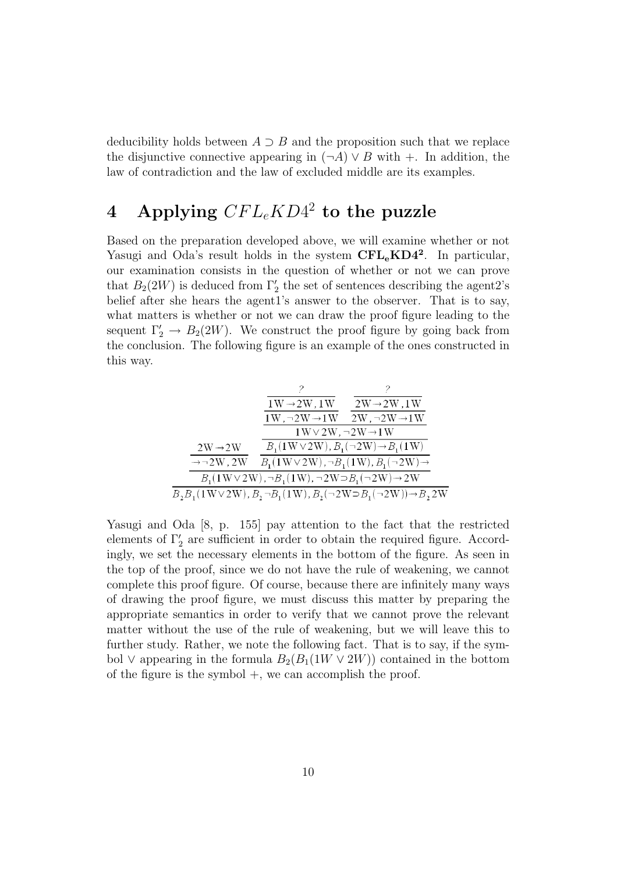deducibility holds between *A ⊃ B* and the proposition such that we replace the disjunctive connective appearing in  $(\neg A) \vee B$  with +. In addition, the law of contradiction and the law of excluded middle are its examples.

# **4 Applying** *CF LeKD*4 2 **to the puzzle**

Based on the preparation developed above, we will examine whether or not Yasugi and Oda's result holds in the system **CFLeKD4<sup>2</sup>** . In particular, our examination consists in the question of whether or not we can prove that  $B_2(2W)$  is deduced from  $\Gamma'_2$  the set of sentences describing the agent2's belief after she hears the agent1's answer to the observer. That is to say, what matters is whether or not we can draw the proof figure leading to the sequent  $\Gamma_2' \to B_2(2W)$ . We construct the proof figure by going back from the conclusion. The following figure is an example of the ones constructed in this way.

$$
\begin{array}{c|c}\n & \frac{2}{1 \text{W} \to 2 \text{W, 1W}} & \frac{2}{2 \text{W} \to 2 \text{W, 1W}} \\
 & \frac{1 \text{W} \to 2 \text{W, 1W}}{1 \text{W} \times 2 \text{W, 1W}} & \frac{2 \text{W} \to 2 \text{W, 1W}}{2 \text{W, 1W}} \\
 & \frac{2 \text{W} \to 2 \text{W}}{1 \text{W} \times 2 \text{W, 1W}} & \frac{B_1 (1 \text{W} \lor 2 \text{W}), B_1 (\neg 2 \text{W}) \to B_1 (1 \text{W})}{B_1 (1 \text{W} \lor 2 \text{W}), B_1 (\neg 2 \text{W}) \to B_1 (1 \text{W})} \\
 & \frac{B_1 (1 \text{W} \lor 2 \text{W}), B_1 (1 \text{W}), B_1 (\neg 2 \text{W}) \to B_1 (1 \text{W})}{B_1 (1 \text{W} \lor 2 \text{W}), B_1 (\neg 1 \text{W}), B_2 (\neg 2 \text{W} \to B_1 (\neg 2 \text{W})) \to B_2 2 \text{W}}\n\end{array}
$$

Yasugi and Oda [8, p. 155] pay attention to the fact that the restricted elements of  $\Gamma_2'$  are sufficient in order to obtain the required figure. Accordingly, we set the necessary elements in the bottom of the figure. As seen in the top of the proof, since we do not have the rule of weakening, we cannot complete this proof figure. Of course, because there are infinitely many ways of drawing the proof figure, we must discuss this matter by preparing the appropriate semantics in order to verify that we cannot prove the relevant matter without the use of the rule of weakening, but we will leave this to further study. Rather, we note the following fact. That is to say, if the symbol *∨* appearing in the formula  $B_2(B_1(1W \vee 2W))$  contained in the bottom of the figure is the symbol  $+$ , we can accomplish the proof.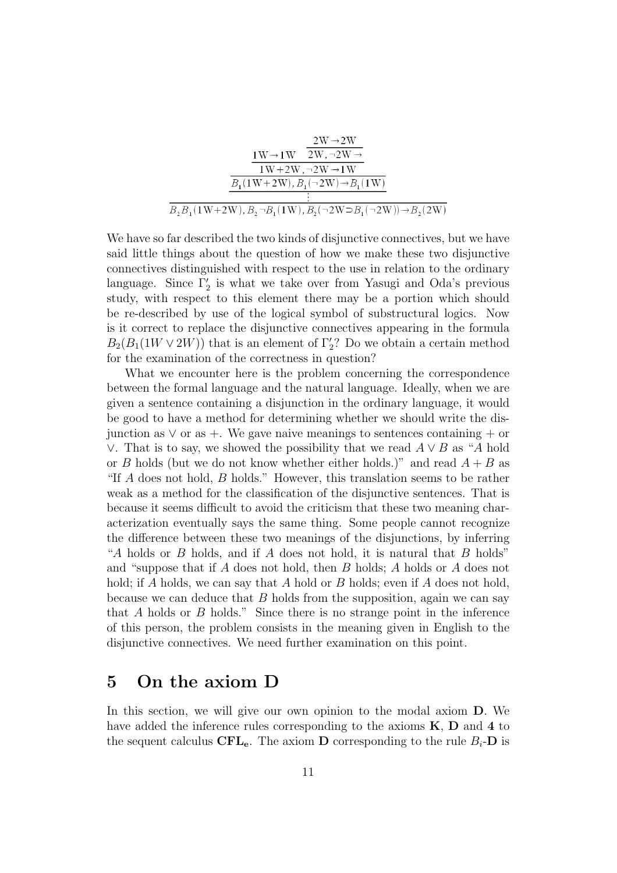| $2W \rightarrow 2W$                                                                     |
|-----------------------------------------------------------------------------------------|
| $1 \text{W} \rightarrow 1 \text{W}$ $2 \text{W}$ , $\neg 2 \text{W} \rightarrow$        |
| $1W+2W. \neg 2W \rightarrow 1W$                                                         |
| $B_1(1W+2W), B_1(\neg 2W) \rightarrow B_1(1W)$                                          |
|                                                                                         |
| $B_2B_1(1W+2W), B_2\neg B_1(1W), B_2(\neg 2W \supset B_1(\neg 2W)) \rightarrow B_2(2W)$ |

We have so far described the two kinds of disjunctive connectives, but we have said little things about the question of how we make these two disjunctive connectives distinguished with respect to the use in relation to the ordinary language. Since  $\Gamma'_2$  is what we take over from Yasugi and Oda's previous study, with respect to this element there may be a portion which should be re-described by use of the logical symbol of substructural logics. Now is it correct to replace the disjunctive connectives appearing in the formula  $B_2(B_1(1W \vee 2W))$  that is an element of  $\Gamma_2'$ ? Do we obtain a certain method for the examination of the correctness in question?

What we encounter here is the problem concerning the correspondence between the formal language and the natural language. Ideally, when we are given a sentence containing a disjunction in the ordinary language, it would be good to have a method for determining whether we should write the disjunction as *∨* or as +. We gave naive meanings to sentences containing + or *∨*. That is to say, we showed the possibility that we read *A ∨ B* as "*A* hold or *B* holds (but we do not know whether either holds.)" and read  $A + B$  as "If *A* does not hold, *B* holds." However, this translation seems to be rather weak as a method for the classification of the disjunctive sentences. That is because it seems difficult to avoid the criticism that these two meaning characterization eventually says the same thing. Some people cannot recognize the difference between these two meanings of the disjunctions, by inferring "*A* holds or *B* holds, and if *A* does not hold, it is natural that *B* holds" and "suppose that if *A* does not hold, then *B* holds; *A* holds or *A* does not hold; if *A* holds, we can say that *A* hold or *B* holds; even if *A* does not hold, because we can deduce that *B* holds from the supposition, again we can say that *A* holds or *B* holds." Since there is no strange point in the inference of this person, the problem consists in the meaning given in English to the disjunctive connectives. We need further examination on this point.

### **5 On the axiom D**

In this section, we will give our own opinion to the modal axiom **D**. We have added the inference rules corresponding to the axioms **K**, **D** and **4** to the sequent calculus  $\mathbf{CFL}_{e}$ . The axiom **D** corresponding to the rule  $B_i$ -**D** is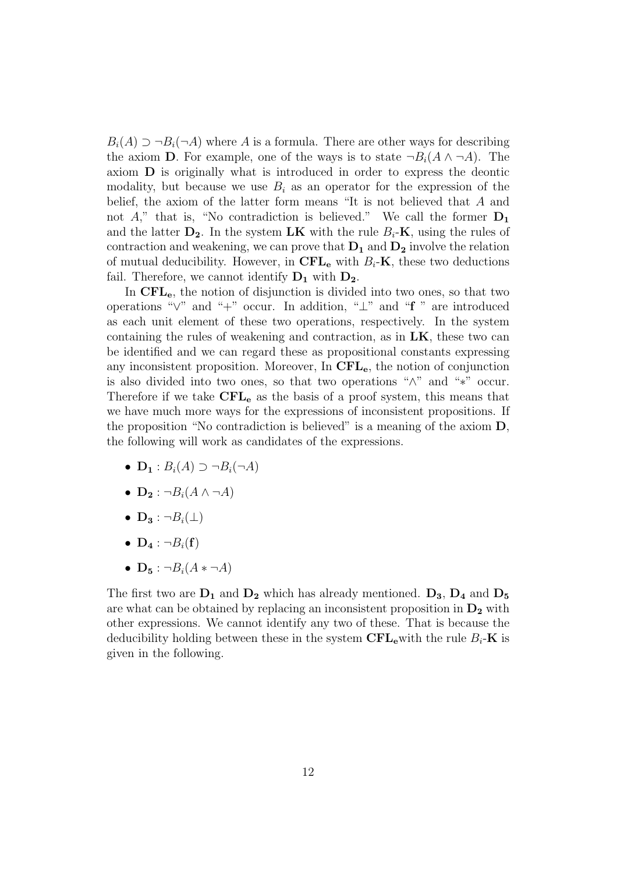$B_i(A) \supset \neg B_i(\neg A)$  where A is a formula. There are other ways for describing the axiom **D**. For example, one of the ways is to state  $\neg B_i(A \land \neg A)$ . The axiom **D** is originally what is introduced in order to express the deontic modality, but because we use  $B_i$  as an operator for the expression of the belief, the axiom of the latter form means "It is not believed that *A* and not  $A$ ," that is, "No contradiction is believed." We call the former  $D_1$ and the latter  $D_2$ . In the system LK with the rule  $B_i$ -K, using the rules of contraction and weakening, we can prove that  $D_1$  and  $D_2$  involve the relation of mutual deducibility. However, in  $\mathbf{CFL}_{\mathbf{e}}$  with  $B_i$ -**K**, these two deductions fail. Therefore, we cannot identify  $D_1$  with  $D_2$ .

In **CFLe**, the notion of disjunction is divided into two ones, so that two operations "*∨*" and "+" occur. In addition, "*⊥*" and "**f** " are introduced as each unit element of these two operations, respectively. In the system containing the rules of weakening and contraction, as in **LK**, these two can be identified and we can regard these as propositional constants expressing any inconsistent proposition. Moreover, In **CFLe**, the notion of conjunction is also divided into two ones, so that two operations "*∧*" and "*∗*" occur. Therefore if we take **CFL<sup>e</sup>** as the basis of a proof system, this means that we have much more ways for the expressions of inconsistent propositions. If the proposition "No contradiction is believed" is a meaning of the axiom **D**, the following will work as candidates of the expressions.

- $\mathbf{D}_1 : B_i(A) \supset \neg B_i(\neg A)$
- $D_2$  :  $\neg B_i(A \land \neg A)$
- *•* **D<sup>3</sup>** : *¬Bi*(*⊥*)
- $D_4$  :  $\neg B_i(f)$
- $D_5$  :  $\neg B_i(A * \neg A)$

The first two are  $D_1$  and  $D_2$  which has already mentioned.  $D_3$ ,  $D_4$  and  $D_5$ are what can be obtained by replacing an inconsistent proposition in **D<sup>2</sup>** with other expressions. We cannot identify any two of these. That is because the deducibility holding between these in the system  $\mathbf{CFL}_{\mathbf{e}}$  with the rule  $B_i$ **-K** is given in the following.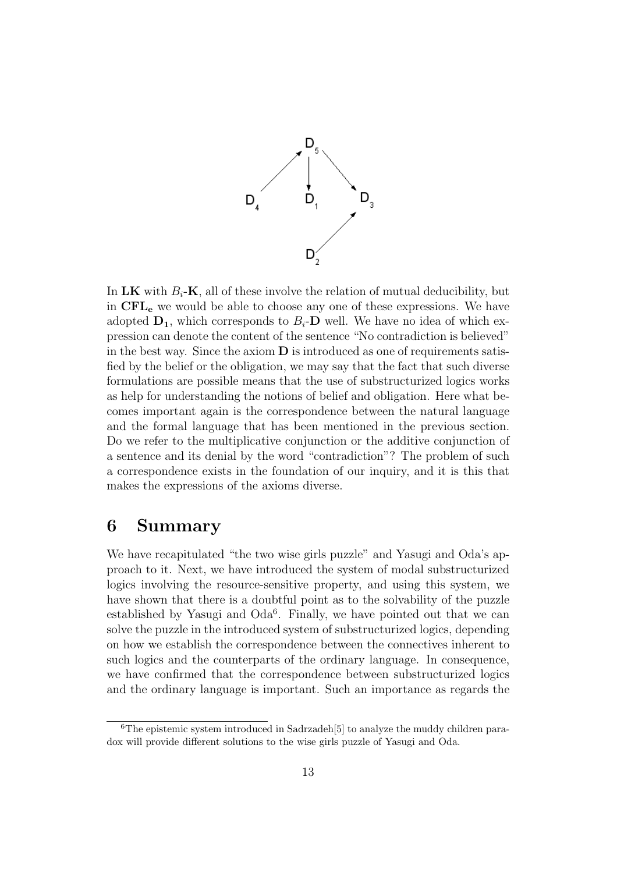

In  $LK$  with  $B_i$ - $K$ , all of these involve the relation of mutual deducibility, but in **CFL<sup>e</sup>** we would be able to choose any one of these expressions. We have adopted  $D_1$ , which corresponds to  $B_i$ - $D$  well. We have no idea of which expression can denote the content of the sentence "No contradiction is believed" in the best way. Since the axiom **D** is introduced as one of requirements satisfied by the belief or the obligation, we may say that the fact that such diverse formulations are possible means that the use of substructurized logics works as help for understanding the notions of belief and obligation. Here what becomes important again is the correspondence between the natural language and the formal language that has been mentioned in the previous section. Do we refer to the multiplicative conjunction or the additive conjunction of a sentence and its denial by the word "contradiction"? The problem of such a correspondence exists in the foundation of our inquiry, and it is this that makes the expressions of the axioms diverse.

### **6 Summary**

We have recapitulated "the two wise girls puzzle" and Yasugi and Oda's approach to it. Next, we have introduced the system of modal substructurized logics involving the resource-sensitive property, and using this system, we have shown that there is a doubtful point as to the solvability of the puzzle established by Yasugi and  $Oda<sup>6</sup>$ . Finally, we have pointed out that we can solve the puzzle in the introduced system of substructurized logics, depending on how we establish the correspondence between the connectives inherent to such logics and the counterparts of the ordinary language. In consequence, we have confirmed that the correspondence between substructurized logics and the ordinary language is important. Such an importance as regards the

 ${}^{6}$ The epistemic system introduced in Sadrzadeh<sup>[5]</sup> to analyze the muddy children paradox will provide different solutions to the wise girls puzzle of Yasugi and Oda.